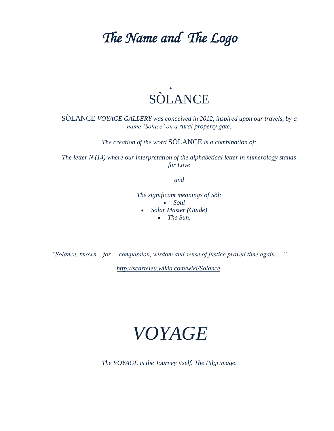### *The Name and The Logo*



SÒLANCE *VOYAGE GALLERY was conceived in 2012, inspired upon our travels, by a name "Solace" on a rural property gate.* 

*The creation of the word* SÒLANCE *is a combination of:*

*The letter N (14) where our interpretation of the alphabetical letter in numerology stands for Love*

*and*

*The significant meanings of Sòl: Soul Solar Master (Guide)*

*The Sun.*

*"Solance, known ...for.....compassion, wisdom and sense of justice proved time again....."* 

*<http://scarteleu.wikia.com/wiki/Solance>*

## *VOYAGE*

*The VOYAGE is the Journey itself. The Pilgrimage.*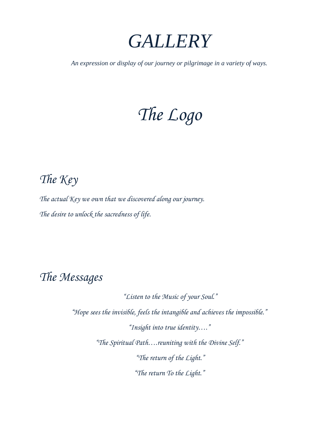

*An expression or display of our journey or pilgrimage in a variety of ways.*

# *The Logo*

#### *The Key*

*The actual Key we own that we discovered along our journey. The desire to unlock the sacredness of life.*

#### *The Messages*

*"Listen to the Music of your Soul." "Hope sees the invisible, feels the intangible and achieves the impossible." "Insight into true identity…." "The Spiritual Path….reuniting with the Divine Self." "The return of the Light." "The return To the Light."*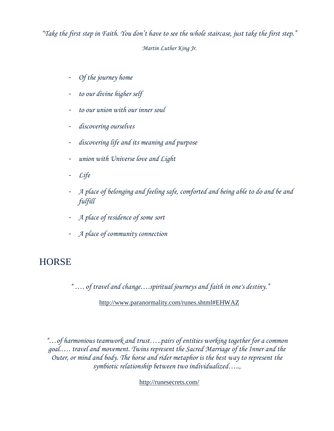*"Take the first step in Faith. You don't have to see the whole staircase, just take the first step." Martin Luther King Jr.*

- *Of the journey home*
- *to our divine higher self*
- *to our union with our inner soul*
- *discovering ourselves*
- *discovering life and its meaning and purpose*
- *union with Universe love and Light*
- *Life*
- *A place of belonging and feeling safe, comforted and being able to do and be and fulfill*
- *A place of residence of some sort*
- *A place of community connection*

#### **HORSE**

*" …. of travel and change….spiritual journeys and faith in one's destiny."*

<http://www.paranormality.com/runes.shtml#EHWAZ>

*"…of harmonious teamwork and trust…..pairs of entities working together for a common goal.…. travel and movement. Twins represent the Sacred Marriage of the Inner and the Outer, or mind and body. The horse and rider metaphor is the best way to represent the symbiotic relationship between two individualized…..,*

<http://runesecrets.com/>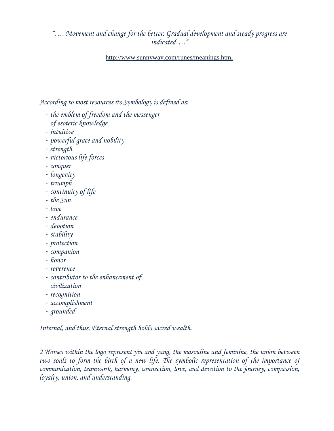*"…. Movement and change for the better. Gradual development and steady progress are indicated…."*

<http://www.sunnyway.com/runes/meanings.html>

*According to most resources its Symbology is defined as:* 

- *the emblem of freedom and the messenger of esoteric knowledge*
- *intuitive*
- *powerful grace and nobility*
- *strength*
- *victorious life forces*
- *conquer*
- *longevity*
- *triumph*
- *continuity of life*
- *the Sun*
- *love*
- *endurance*
- *devotion*
- *stability*
- *protection*
- *companion*
- *honor*
- *reverence*
- *contributor to the enhancement of civilization*
- 
- *recognition*
- *accomplishment*
- *grounded*

*Internal, and thus, Eternal strength holds sacred wealth.* 

*2 Horses within the logo represent yin and yang, the masculine and feminine, the union between*  two souls to form the birth of a new life. The symbolic representation of the importance of *communication, teamwork, harmony, connection, love, and devotion to the journey, compassion, loyalty, union, and understanding.*